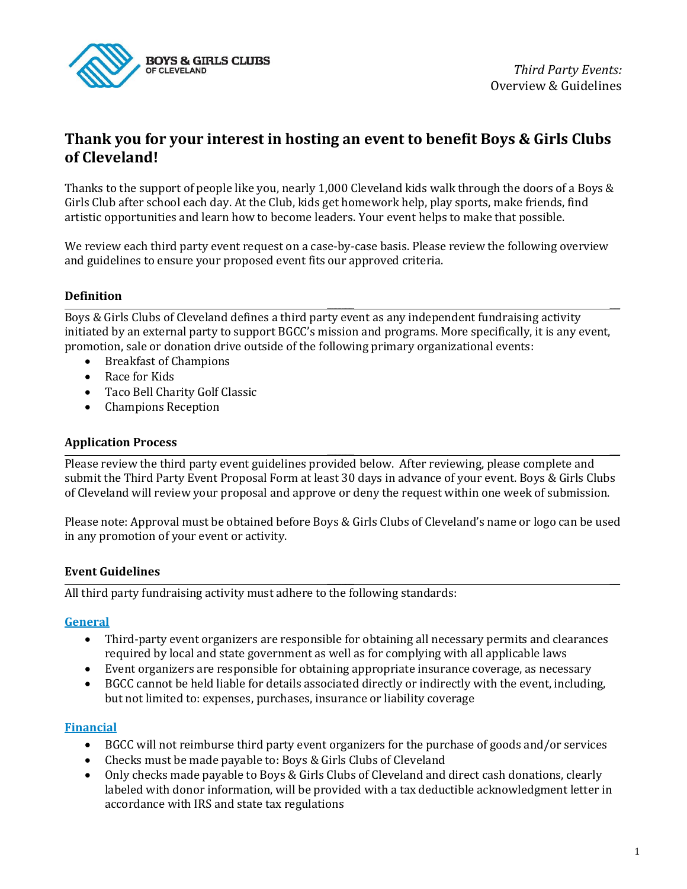

# **Thank you for your interest in hosting an event to benefit Boys & Girls Clubs of Cleveland!**

Thanks to the support of people like you, nearly 1,000 Cleveland kids walk through the doors of a Boys & Girls Club after school each day. At the Club, kids get homework help, play sports, make friends, find artistic opportunities and learn how to become leaders. Your event helps to make that possible.

We review each third party event request on a case-by-case basis. Please review the following overview and guidelines to ensure your proposed event fits our approved criteria.

## **Definition**

**\_\_\_\_\_\_\_\_\_\_\_\_\_ \_\_\_\_\_** Boys & Girls Clubs of Cleveland defines a third party event as any independent fundraising activity initiated by an external party to support BGCC's mission and programs. More specifically, it is any event, promotion, sale or donation drive outside of the following primary organizational events:

- Breakfast of Champions
- Race for Kids
- Taco Bell Charity Golf Classic
- Champions Reception

### **Application Process**

Please review the third party event guidelines provided below. After reviewing, please complete and submit the Third Party Event Proposal Form at least 30 days in advance of your event. Boys & Girls Clubs of Cleveland will review your proposal and approve or deny the request within one week of submission.

**\_\_\_\_\_\_\_\_\_\_\_\_\_ \_\_\_\_\_**

**\_\_\_\_\_\_\_\_\_\_\_\_\_ \_\_\_\_\_**

Please note: Approval must be obtained before Boys & Girls Clubs of Cleveland's name or logo can be used in any promotion of your event or activity.

#### **Event Guidelines**

All third party fundraising activity must adhere to the following standards:

#### **General**

- Third-party event organizers are responsible for obtaining all necessary permits and clearances required by local and state government as well as for complying with all applicable laws
- Event organizers are responsible for obtaining appropriate insurance coverage, as necessary
- BGCC cannot be held liable for details associated directly or indirectly with the event, including, but not limited to: expenses, purchases, insurance or liability coverage

#### **Financial**

- BGCC will not reimburse third party event organizers for the purchase of goods and/or services
- Checks must be made payable to: Boys & Girls Clubs of Cleveland
- Only checks made payable to Boys & Girls Clubs of Cleveland and direct cash donations, clearly labeled with donor information, will be provided with a tax deductible acknowledgment letter in accordance with IRS and state tax regulations